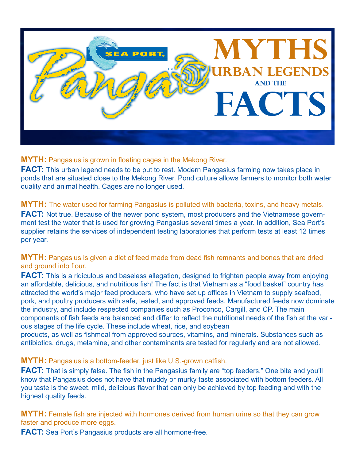

#### **MYTH:** Pangasius is grown in floating cages in the Mekong River.

**FACT:** This urban legend needs to be put to rest. Modern Pangasius farming now takes place in ponds that are situated close to the Mekong River. Pond culture allows farmers to monitor both water quality and animal health. Cages are no longer used.

## **MYTH:** The water used for farming Pangasius is polluted with bacteria, toxins, and heavy metals.

**FACT:** Not true. Because of the newer pond system, most producers and the Vietnamese government test the water that is used for growing Pangasius several times a year. In addition, Sea Port's supplier retains the services of independent testing laboratories that perform tests at least 12 times per year.

#### **MYTH:** Pangasius is given a diet of feed made from dead fish remnants and bones that are dried and ground into flour.

**FACT:** This is a ridiculous and baseless allegation, designed to frighten people away from enjoying an affordable, delicious, and nutritious fish! The fact is that Vietnam as a "food basket" country has attracted the world's major feed producers, who have set up offices in Vietnam to supply seafood, pork, and poultry producers with safe, tested, and approved feeds. Manufactured feeds now dominate the industry, and include respected companies such as Proconco, Cargill, and CP. The main components of fish feeds are balanced and differ to reflect the nutritional needs of the fish at the various stages of the life cycle. These include wheat, rice, and soybean

products, as well as fishmeal from approved sources, vitamins, and minerals. Substances such as antibiotics, drugs, melamine, and other contaminants are tested for regularly and are not allowed.

#### **MYTH:** Pangasius is a bottom-feeder, just like U.S.-grown catfish.

**FACT:** That is simply false. The fish in the Pangasius family are "top feeders." One bite and you'll know that Pangasius does not have that muddy or murky taste associated with bottom feeders. All you taste is the sweet, mild, delicious flavor that can only be achieved by top feeding and with the highest quality feeds.

**MYTH:** Female fish are injected with hormones derived from human urine so that they can grow faster and produce more eggs.

**FACT:** Sea Port's Pangasius products are all hormone-free.